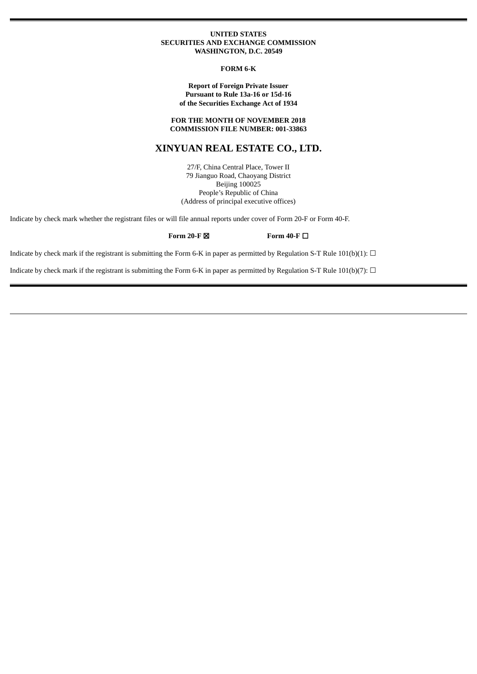#### **UNITED STATES SECURITIES AND EXCHANGE COMMISSION WASHINGTON, D.C. 20549**

**FORM 6-K**

#### **Report of Foreign Private Issuer Pursuant to Rule 13a-16 or 15d-16 of the Securities Exchange Act of 1934**

#### **FOR THE MONTH OF NOVEMBER 2018 COMMISSION FILE NUMBER: 001-33863**

# **XINYUAN REAL ESTATE CO., LTD.**

27/F, China Central Place, Tower II 79 Jianguo Road, Chaoyang District Beijing 100025 People's Republic of China (Address of principal executive offices)

Indicate by check mark whether the registrant files or will file annual reports under cover of Form 20-F or Form 40-F.

#### **Form 20-F** ☒ **Form 40-F** ☐

Indicate by check mark if the registrant is submitting the Form 6-K in paper as permitted by Regulation S-T Rule 101(b)(1):  $\Box$ 

Indicate by check mark if the registrant is submitting the Form 6-K in paper as permitted by Regulation S-T Rule 101(b)(7):  $\Box$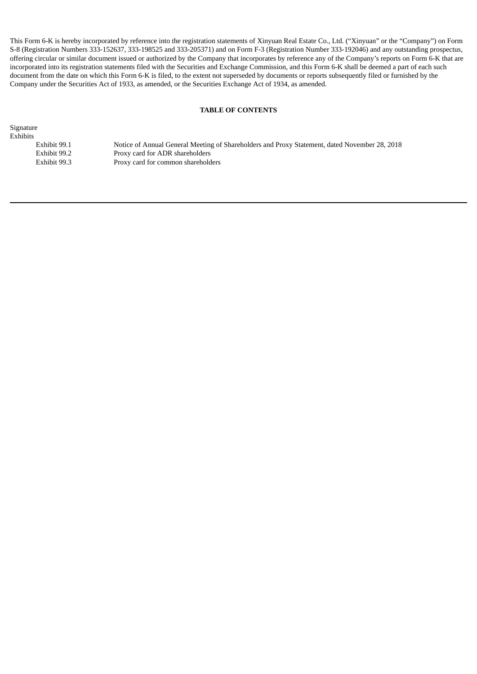This Form 6-K is hereby incorporated by reference into the registration statements of Xinyuan Real Estate Co., Ltd. ("Xinyuan" or the "Company") on Form S-8 (Registration Numbers 333-152637, 333-198525 and 333-205371) and on Form F-3 (Registration Number 333-192046) and any outstanding prospectus, offering circular or similar document issued or authorized by the Company that incorporates by reference any of the Company's reports on Form 6-K that are incorporated into its registration statements filed with the Securities and Exchange Commission, and this Form 6-K shall be deemed a part of each such document from the date on which this Form 6-K is filed, to the extent not superseded by documents or reports subsequently filed or furnished by the Company under the Securities Act of 1933, as amended, or the Securities Exchange Act of 1934, as amended.

## **TABLE OF CONTENTS**

Signature

Exhibits<br>Exhibit 99.1

Notice of Annual General Meeting of Shareholders and Proxy Statement, dated November 28, 2018 Exhibit 99.2 Proxy card for ADR shareholders<br>Exhibit 99.3 Proxy card for common sharehold Proxy card for common shareholders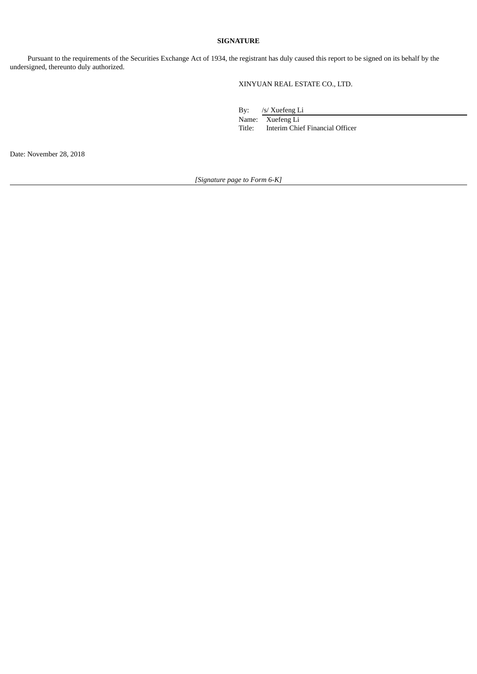### **SIGNATURE**

Pursuant to the requirements of the Securities Exchange Act of 1934, the registrant has duly caused this report to be signed on its behalf by the undersigned, thereunto duly authorized.

XINYUAN REAL ESTATE CO., LTD.

By: /s/ Xuefeng Li Name: Xuefeng Li Title: Interim Chief Financial Officer

Date: November 28, 2018

*[Signature page to Form 6-K]*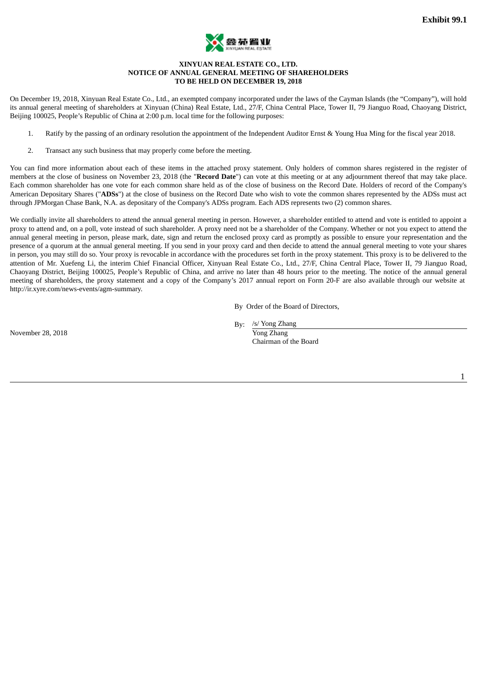

#### **XINYUAN REAL ESTATE CO., LTD. NOTICE OF ANNUAL GENERAL MEETING OF SHAREHOLDERS TO BE HELD ON DECEMBER 19, 2018**

On December 19, 2018, Xinyuan Real Estate Co., Ltd., an exempted company incorporated under the laws of the Cayman Islands (the "Company"), will hold its annual general meeting of shareholders at Xinyuan (China) Real Estate, Ltd., 27/F, China Central Place, Tower II, 79 Jianguo Road, Chaoyang District, Beijing 100025, People's Republic of China at 2:00 p.m. local time for the following purposes:

- 1. Ratify by the passing of an ordinary resolution the appointment of the Independent Auditor Ernst & Young Hua Ming for the fiscal year 2018.
- 2. Transact any such business that may properly come before the meeting.

You can find more information about each of these items in the attached proxy statement. Only holders of common shares registered in the register of members at the close of business on November 23, 2018 (the "**Record Date**") can vote at this meeting or at any adjournment thereof that may take place. Each common shareholder has one vote for each common share held as of the close of business on the Record Date. Holders of record of the Company's American Depositary Shares ("**ADSs**") at the close of business on the Record Date who wish to vote the common shares represented by the ADSs must act through JPMorgan Chase Bank, N.A. as depositary of the Company's ADSs program. Each ADS represents two (2) common shares.

We cordially invite all shareholders to attend the annual general meeting in person. However, a shareholder entitled to attend and vote is entitled to appoint a proxy to attend and, on a poll, vote instead of such shareholder. A proxy need not be a shareholder of the Company. Whether or not you expect to attend the annual general meeting in person, please mark, date, sign and return the enclosed proxy card as promptly as possible to ensure your representation and the presence of a quorum at the annual general meeting. If you send in your proxy card and then decide to attend the annual general meeting to vote your shares in person, you may still do so. Your proxy is revocable in accordance with the procedures set forth in the proxy statement. This proxy is to be delivered to the attention of Mr. Xuefeng Li, the interim Chief Financial Officer, Xinyuan Real Estate Co., Ltd., 27/F, China Central Place, Tower II, 79 Jianguo Road, Chaoyang District, Beijing 100025, People's Republic of China, and arrive no later than 48 hours prior to the meeting. The notice of the annual general meeting of shareholders, the proxy statement and a copy of the Company's 2017 annual report on Form 20-F are also available through our website at http://ir.xyre.com/news-events/agm-summary.

By Order of the Board of Directors,

November 28, 2018 Yong Zhang

By: /s/ Yong Zhang

Chairman of the Board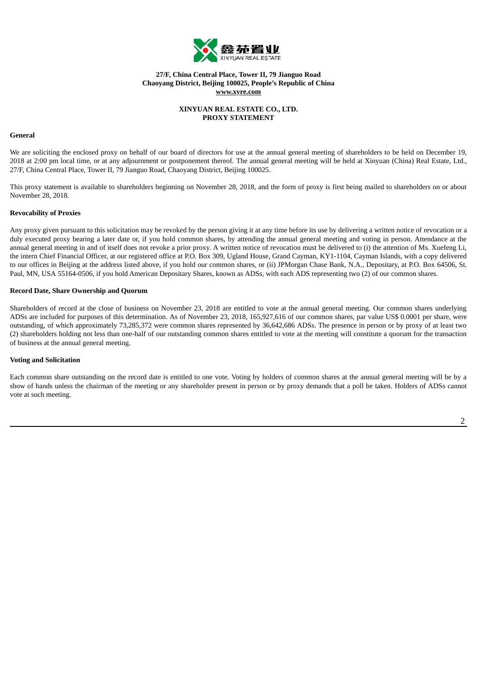

### **27/F, China Central Place, Tower II, 79 Jianguo Road Chaoyang District, Beijing 100025, People's Republic of China www.xyre.com**

#### **XINYUAN REAL ESTATE CO., LTD. PROXY STATEMENT**

#### **General**

We are soliciting the enclosed proxy on behalf of our board of directors for use at the annual general meeting of shareholders to be held on December 19, 2018 at 2:00 pm local time, or at any adjournment or postponement thereof. The annual general meeting will be held at Xinyuan (China) Real Estate, Ltd., 27/F, China Central Place, Tower II, 79 Jianguo Road, Chaoyang District, Beijing 100025.

This proxy statement is available to shareholders beginning on November 28, 2018, and the form of proxy is first being mailed to shareholders on or about November 28, 2018.

#### **Revocability of Proxies**

Any proxy given pursuant to this solicitation may be revoked by the person giving it at any time before its use by delivering a written notice of revocation or a duly executed proxy bearing a later date or, if you hold common shares, by attending the annual general meeting and voting in person. Attendance at the annual general meeting in and of itself does not revoke a prior proxy. A written notice of revocation must be delivered to (i) the attention of Ms. Xuefeng Li, the intern Chief Financial Officer, at our registered office at P.O. Box 309, Ugland House, Grand Cayman, KY1-1104, Cayman Islands, with a copy delivered to our offices in Beijing at the address listed above, if you hold our common shares, or (ii) JPMorgan Chase Bank, N.A., Depositary, at P.O. Box 64506, St. Paul, MN, USA 55164-0506, if you hold American Depositary Shares, known as ADSs, with each ADS representing two (2) of our common shares.

#### **Record Date, Share Ownership and Quorum**

Shareholders of record at the close of business on November 23, 2018 are entitled to vote at the annual general meeting. Our common shares underlying ADSs are included for purposes of this determination. As of November 23, 2018, 165,927,616 of our common shares, par value US\$ 0.0001 per share, were outstanding, of which approximately 73,285,372 were common shares represented by 36,642,686 ADSs. The presence in person or by proxy of at least two (2) shareholders holding not less than one-half of our outstanding common shares entitled to vote at the meeting will constitute a quorum for the transaction of business at the annual general meeting.

#### **Voting and Solicitation**

Each common share outstanding on the record date is entitled to one vote. Voting by holders of common shares at the annual general meeting will be by a show of hands unless the chairman of the meeting or any shareholder present in person or by proxy demands that a poll be taken. Holders of ADSs cannot vote at such meeting.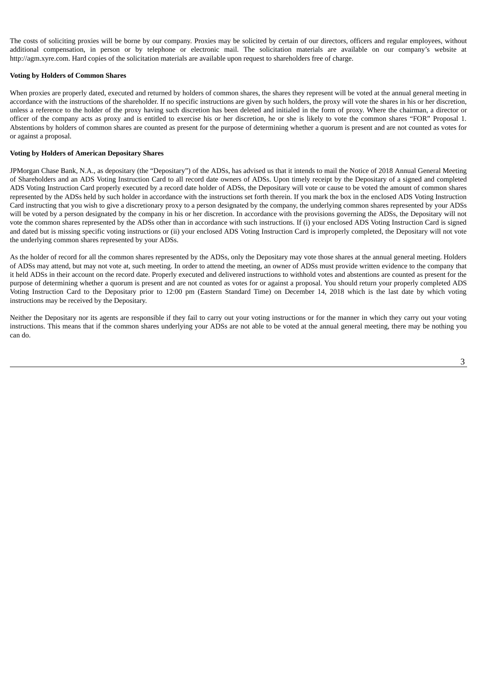The costs of soliciting proxies will be borne by our company. Proxies may be solicited by certain of our directors, officers and regular employees, without additional compensation, in person or by telephone or electronic mail. The solicitation materials are available on our company's website at http://agm.xyre.com. Hard copies of the solicitation materials are available upon request to shareholders free of charge.

#### **Voting by Holders of Common Shares**

When proxies are properly dated, executed and returned by holders of common shares, the shares they represent will be voted at the annual general meeting in accordance with the instructions of the shareholder. If no specific instructions are given by such holders, the proxy will vote the shares in his or her discretion, unless a reference to the holder of the proxy having such discretion has been deleted and initialed in the form of proxy. Where the chairman, a director or officer of the company acts as proxy and is entitled to exercise his or her discretion, he or she is likely to vote the common shares "FOR" Proposal 1. Abstentions by holders of common shares are counted as present for the purpose of determining whether a quorum is present and are not counted as votes for or against a proposal.

#### **Voting by Holders of American Depositary Shares**

JPMorgan Chase Bank, N.A., as depositary (the "Depositary") of the ADSs, has advised us that it intends to mail the Notice of 2018 Annual General Meeting of Shareholders and an ADS Voting Instruction Card to all record date owners of ADSs. Upon timely receipt by the Depositary of a signed and completed ADS Voting Instruction Card properly executed by a record date holder of ADSs, the Depositary will vote or cause to be voted the amount of common shares represented by the ADSs held by such holder in accordance with the instructions set forth therein. If you mark the box in the enclosed ADS Voting Instruction Card instructing that you wish to give a discretionary proxy to a person designated by the company, the underlying common shares represented by your ADSs will be voted by a person designated by the company in his or her discretion. In accordance with the provisions governing the ADSs, the Depositary will not vote the common shares represented by the ADSs other than in accordance with such instructions. If (i) your enclosed ADS Voting Instruction Card is signed and dated but is missing specific voting instructions or (ii) your enclosed ADS Voting Instruction Card is improperly completed, the Depositary will not vote the underlying common shares represented by your ADSs.

As the holder of record for all the common shares represented by the ADSs, only the Depositary may vote those shares at the annual general meeting. Holders of ADSs may attend, but may not vote at, such meeting. In order to attend the meeting, an owner of ADSs must provide written evidence to the company that it held ADSs in their account on the record date. Properly executed and delivered instructions to withhold votes and abstentions are counted as present for the purpose of determining whether a quorum is present and are not counted as votes for or against a proposal. You should return your properly completed ADS Voting Instruction Card to the Depositary prior to 12:00 pm (Eastern Standard Time) on December 14, 2018 which is the last date by which voting instructions may be received by the Depositary.

Neither the Depositary nor its agents are responsible if they fail to carry out your voting instructions or for the manner in which they carry out your voting instructions. This means that if the common shares underlying your ADSs are not able to be voted at the annual general meeting, there may be nothing you can do.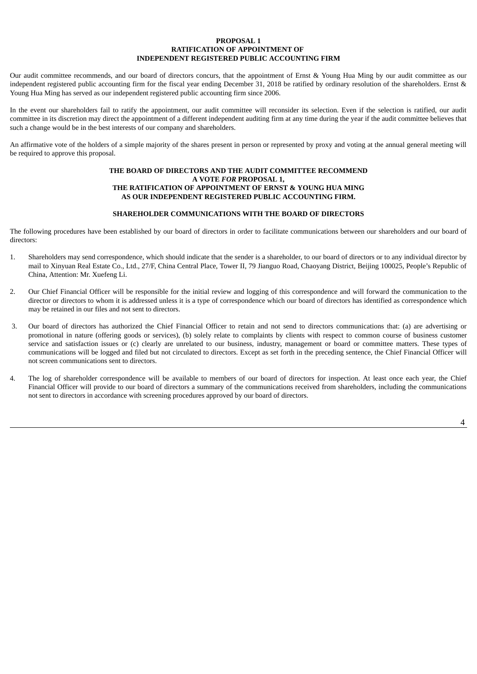#### **PROPOSAL 1 RATIFICATION OF APPOINTMENT OF INDEPENDENT REGISTERED PUBLIC ACCOUNTING FIRM**

Our audit committee recommends, and our board of directors concurs, that the appointment of Ernst & Young Hua Ming by our audit committee as our independent registered public accounting firm for the fiscal year ending December 31, 2018 be ratified by ordinary resolution of the shareholders. Ernst & Young Hua Ming has served as our independent registered public accounting firm since 2006.

In the event our shareholders fail to ratify the appointment, our audit committee will reconsider its selection. Even if the selection is ratified, our audit committee in its discretion may direct the appointment of a different independent auditing firm at any time during the year if the audit committee believes that such a change would be in the best interests of our company and shareholders.

An affirmative vote of the holders of a simple majority of the shares present in person or represented by proxy and voting at the annual general meeting will be required to approve this proposal.

#### **THE BOARD OF DIRECTORS AND THE AUDIT COMMITTEE RECOMMEND A VOTE** *FOR* **PROPOSAL 1, THE RATIFICATION OF APPOINTMENT OF ERNST & YOUNG HUA MING AS OUR INDEPENDENT REGISTERED PUBLIC ACCOUNTING FIRM.**

#### **SHAREHOLDER COMMUNICATIONS WITH THE BOARD OF DIRECTORS**

The following procedures have been established by our board of directors in order to facilitate communications between our shareholders and our board of directors:

- 1. Shareholders may send correspondence, which should indicate that the sender is a shareholder, to our board of directors or to any individual director by mail to Xinyuan Real Estate Co., Ltd., 27/F, China Central Place, Tower II, 79 Jianguo Road, Chaoyang District, Beijing 100025, People's Republic of China, Attention: Mr. Xuefeng Li.
- 2. Our Chief Financial Officer will be responsible for the initial review and logging of this correspondence and will forward the communication to the director or directors to whom it is addressed unless it is a type of correspondence which our board of directors has identified as correspondence which may be retained in our files and not sent to directors.
- 3. Our board of directors has authorized the Chief Financial Officer to retain and not send to directors communications that: (a) are advertising or promotional in nature (offering goods or services), (b) solely relate to complaints by clients with respect to common course of business customer service and satisfaction issues or (c) clearly are unrelated to our business, industry, management or board or committee matters. These types of communications will be logged and filed but not circulated to directors. Except as set forth in the preceding sentence, the Chief Financial Officer will not screen communications sent to directors.
- 4. The log of shareholder correspondence will be available to members of our board of directors for inspection. At least once each year, the Chief Financial Officer will provide to our board of directors a summary of the communications received from shareholders, including the communications not sent to directors in accordance with screening procedures approved by our board of directors.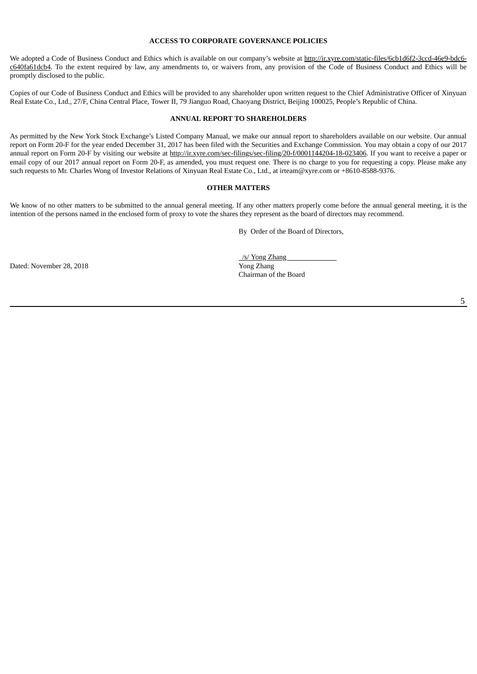#### **ACCESS TO CORPORATE GOVERNANCE POLICIES**

We adopted a Code of Business Conduct and Ethics which is available on our company's website at http://ir.xyre.com/static-files/6cb1d6f2-3ccd-46e9-bdc6c640fa61dcb4. To the extent required by law, any amendments to, or waivers from, any provision of the Code of Business Conduct and Ethics will be promptly disclosed to the public.

Copies of our Code of Business Conduct and Ethics will be provided to any shareholder upon written request to the Chief Administrative Officer of Xinyuan Real Estate Co., Ltd., 27/F, China Central Place, Tower II, 79 Jianguo Road, Chaoyang District, Beijing 100025, People's Republic of China.

#### **ANNUAL REPORT TO SHAREHOLDERS**

As permitted by the New York Stock Exchange's Listed Company Manual, we make our annual report to shareholders available on our website. Our annual report on Form 20-F for the year ended December 31, 2017 has been filed with the Securities and Exchange Commission. You may obtain a copy of our 2017 annual report on Form 20-F by visiting our website at http://ir.xyre.com/sec-filings/sec-filing/20-f/0001144204-18-023406. If you want to receive a paper or email copy of our 2017 annual report on Form 20-F, as amended, you must request one. There is no charge to you for requesting a copy. Please make any such requests to Mr. Charles Wong of Investor Relations of Xinyuan Real Estate Co., Ltd., at irteam@xyre.com or +8610-8588-9376.

#### **OTHER MATTERS**

We know of no other matters to be submitted to the annual general meeting. If any other matters properly come before the annual general meeting, it is the intention of the persons named in the enclosed form of proxy to vote the shares they represent as the board of directors may recommend.

By Order of the Board of Directors,

Dated: November 28, 2018

| /s/ Yong Zhang        |  |
|-----------------------|--|
| Yong Zhang            |  |
| Chairman of the Board |  |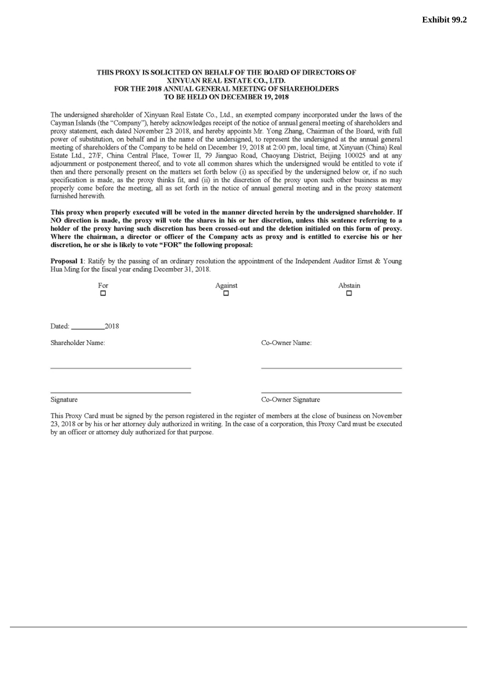#### THIS PROXY IS SOLICITED ON BEHALF OF THE BOARD OF DIRECTORS OF XINYUAN REAL ESTATE CO., LTD. FOR THE 2018 ANNUAL GENERAL MEETING OF SHAREHOLDERS TO BE HELD ON DECEMBER 19, 2018

The undersigned shareholder of Xinyuan Real Estate Co., Ltd., an exempted company incorporated under the laws of the Cayman Islands (the "Company"), hereby acknowledges receipt of the notice of annual general meeting of shareholders and proxy statement, each dated November 23 2018, and hereby appoints Mr. Yong Zhang, Chairman of the Board, with full power of substitution, on behalf and in the name of the undersigned, to represent the undersigned at the annual general meeting of shareholders of the Company to be held on December 19, 2018 at 2:00 pm, local time, at Xinyuan (China) Real Estate Ltd., 27/F, China Central Place, Tower II, 79 Jianguo Road, Chaoyang District, Beijing 100025 and at any adjournment or postponement thereof, and to vote all common shares which the undersigned would be entitled to vote if then and there personally present on the matters set forth below (i) as specified by the undersigned below or, if no such specification is made, as the proxy thinks fit, and (ii) in the discretion of the proxy upon such other business as may properly come before the meeting, all as set forth in the notice of annual general meeting and in the proxy statement furnished herewith.

This proxy when properly executed will be voted in the manner directed herein by the undersigned shareholder. If NO direction is made, the proxy will vote the shares in his or her discretion, unless this sentence referring to a holder of the proxy having such discretion has been crossed-out and the deletion initialed on this form of proxy. Where the chairman, a director or officer of the Company acts as proxy and is entitled to exercise his or her discretion, he or she is likely to vote "FOR" the following proposal:

Proposal 1: Ratify by the passing of an ordinary resolution the appointment of the Independent Auditor Ernst & Young Hua Ming for the fiscal year ending December 31, 2018.

| For<br>□          | Against<br>□       | Abstain<br>□ |
|-------------------|--------------------|--------------|
|                   |                    |              |
| Dated: 2018       |                    |              |
| Shareholder Name: | Co-Owner Name:     |              |
|                   |                    |              |
|                   |                    |              |
|                   |                    |              |
| Signature         | Co-Owner Signature |              |

This Proxy Card must be signed by the person registered in the register of members at the close of business on November 23, 2018 or by his or her attorney duly authorized in writing. In the case of a corporation, this Proxy Card must be executed by an officer or attorney duly authorized for that purpose.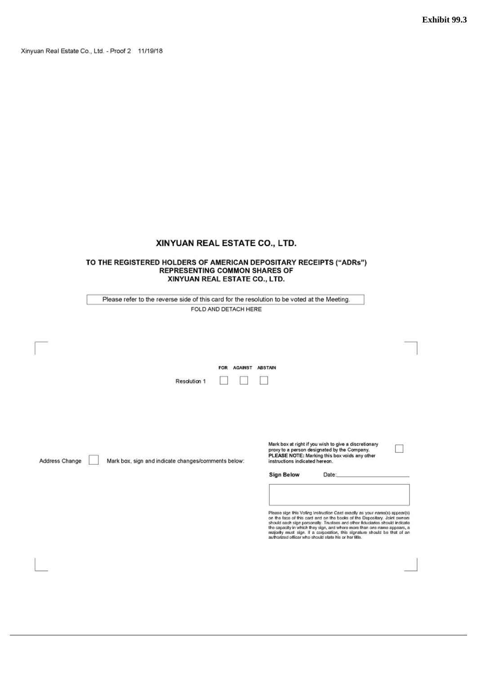Xinyuan Real Estate Co., Ltd. - Proof 2 11/19/18

# XINYUAN REAL ESTATE CO., LTD.

# TO THE REGISTERED HOLDERS OF AMERICAN DEPOSITARY RECEIPTS ("ADRs")<br>REPRESENTING COMMON SHARES OF XINYUAN REAL ESTATE CO., LTD.

| Please refer to the reverse side of this card for the resolution to be voted at the Meeting.                                                                                                                                                                                                                                                                                                                                                             |  |
|----------------------------------------------------------------------------------------------------------------------------------------------------------------------------------------------------------------------------------------------------------------------------------------------------------------------------------------------------------------------------------------------------------------------------------------------------------|--|
| FOLD AND DETACH HERE                                                                                                                                                                                                                                                                                                                                                                                                                                     |  |
|                                                                                                                                                                                                                                                                                                                                                                                                                                                          |  |
|                                                                                                                                                                                                                                                                                                                                                                                                                                                          |  |
|                                                                                                                                                                                                                                                                                                                                                                                                                                                          |  |
|                                                                                                                                                                                                                                                                                                                                                                                                                                                          |  |
| FOR AGAINST ABSTAIN                                                                                                                                                                                                                                                                                                                                                                                                                                      |  |
| Resolution 1                                                                                                                                                                                                                                                                                                                                                                                                                                             |  |
|                                                                                                                                                                                                                                                                                                                                                                                                                                                          |  |
|                                                                                                                                                                                                                                                                                                                                                                                                                                                          |  |
|                                                                                                                                                                                                                                                                                                                                                                                                                                                          |  |
|                                                                                                                                                                                                                                                                                                                                                                                                                                                          |  |
| Mark box at right if you wish to give a discretionary<br>proxy to a person designated by the Company.<br>PLEASE NOTE: Marking this box voids any other<br>Address Change<br>Mark box, sign and indicate changes/comments below:<br>instructions indicated hereon.                                                                                                                                                                                        |  |
| Sign Below<br>Date:                                                                                                                                                                                                                                                                                                                                                                                                                                      |  |
|                                                                                                                                                                                                                                                                                                                                                                                                                                                          |  |
|                                                                                                                                                                                                                                                                                                                                                                                                                                                          |  |
| Please sign this Voting Instruction Card exactly as your name(s) appear(s)<br>on the face of this card and on the books of the Depositary. Joint owners<br>should each sign personally. Trustees and other fiduciaries should indicate<br>the capacity in which they sign, and where more than one name appears, a<br>majority must sign. If a corporation, this signature should be that of an<br>authorized officer who should state his or her title. |  |
|                                                                                                                                                                                                                                                                                                                                                                                                                                                          |  |
|                                                                                                                                                                                                                                                                                                                                                                                                                                                          |  |